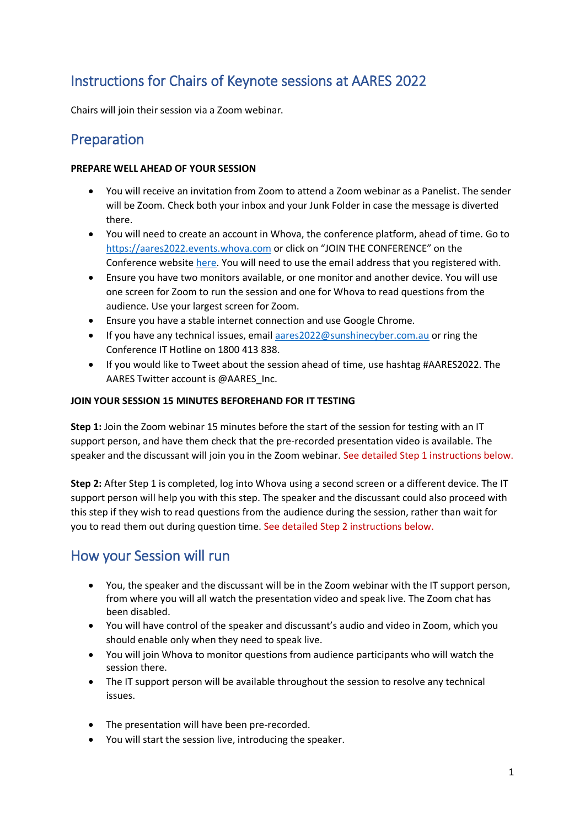## Instructions for Chairs of Keynote sessions at AARES 2022

Chairs will join their session via a Zoom webinar.

### Preparation

#### **PREPARE WELL AHEAD OF YOUR SESSION**

- You will receive an invitation from Zoom to attend a Zoom webinar as a Panelist. The sender will be Zoom. Check both your inbox and your Junk Folder in case the message is diverted there.
- You will need to create an account in Whova, the conference platform, ahead of time. Go to [https://aares2022.events.whova.com](https://aus01.safelinks.protection.outlook.com/?url=https%3A%2F%2Faares2022.events.whova.com%2F&data=04%7C01%7Clmorales%40myune.mail.onmicrosoft.com%7C1aabab70c2b94687b76308d9da3c8bef%7C3e104c4f8ef24d1483d8bd7d3b46b8db%7C0%7C0%7C637780775845996053%7CUnknown%7CTWFpbGZsb3d8eyJWIjoiMC4wLjAwMDAiLCJQIjoiV2luMzIiLCJBTiI6Ik1haWwiLCJXVCI6Mn0%3D%7C3000&sdata=ld2FreD%2BjwbwzJvXhc1m%2FXDECmzde8uSSsWOLKb%2FpXE%3D&reserved=0) or click on "JOIN THE CONFERENCE" on the Conference websit[e here.](http://aares2022.org.au/) You will need to use the email address that you registered with.
- Ensure you have two monitors available, or one monitor and another device. You will use one screen for Zoom to run the session and one for Whova to read questions from the audience. Use your largest screen for Zoom.
- Ensure you have a stable internet connection and use Google Chrome.
- If you have any technical issues, email [aares2022@sunshinecyber.com.au](mailto:aares2022@sunshinecyber.com.aur) or ring the Conference IT Hotline on 1800 413 838.
- If you would like to Tweet about the session ahead of time, use hashtag #AARES2022. The AARES Twitter account is @AARES\_Inc.

#### **JOIN YOUR SESSION 15 MINUTES BEFOREHAND FOR IT TESTING**

**Step 1:** Join the Zoom webinar 15 minutes before the start of the session for testing with an IT support person, and have them check that the pre-recorded presentation video is available. The speaker and the discussant will join you in the Zoom webinar. See detailed Step 1 instructions below.

**Step 2:** After Step 1 is completed, log into Whova using a second screen or a different device. The IT support person will help you with this step. The speaker and the discussant could also proceed with this step if they wish to read questions from the audience during the session, rather than wait for you to read them out during question time. See detailed Step 2 instructions below.

### How your Session will run

- You, the speaker and the discussant will be in the Zoom webinar with the IT support person, from where you will all watch the presentation video and speak live. The Zoom chat has been disabled.
- You will have control of the speaker and discussant's audio and video in Zoom, which you should enable only when they need to speak live.
- You will join Whova to monitor questions from audience participants who will watch the session there.
- The IT support person will be available throughout the session to resolve any technical issues.
- The presentation will have been pre-recorded.
- You will start the session live, introducing the speaker.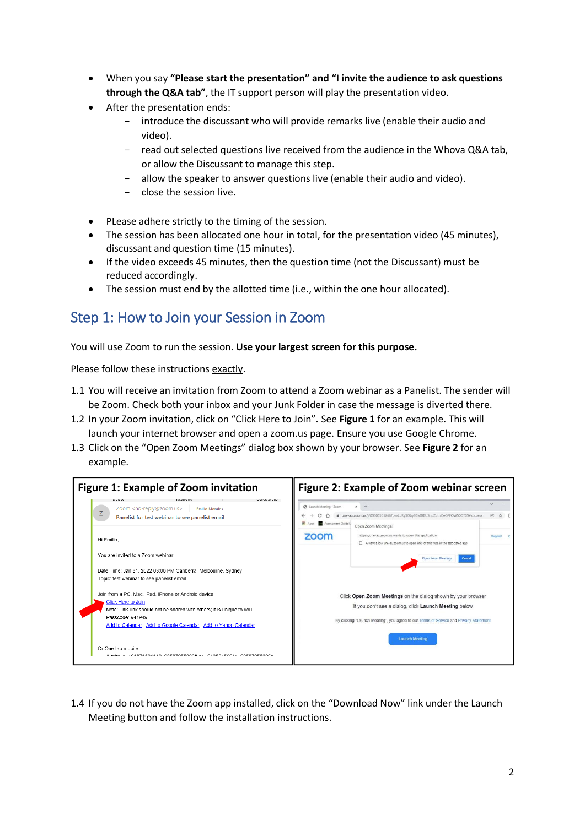- When you say **"Please start the presentation" and "I invite the audience to ask questions through the Q&A tab"**, the IT support person will play the presentation video.
- After the presentation ends:
	- introduce the discussant who will provide remarks live (enable their audio and video).
	- read out selected questions live received from the audience in the Whova Q&A tab, or allow the Discussant to manage this step.
	- allow the speaker to answer questions live (enable their audio and video).
	- close the session live.
- PLease adhere strictly to the timing of the session.
- The session has been allocated one hour in total, for the presentation video (45 minutes), discussant and question time (15 minutes).
- If the video exceeds 45 minutes, then the question time (not the Discussant) must be reduced accordingly.
- The session must end by the allotted time (i.e., within the one hour allocated).

## Step 1: How to Join your Session in Zoom

You will use Zoom to run the session. **Use your largest screen for this purpose.**

Please follow these instructions exactly.

- 1.1 You will receive an invitation from Zoom to attend a Zoom webinar as a Panelist. The sender will be Zoom. Check both your inbox and your Junk Folder in case the message is diverted there.
- 1.2 In your Zoom invitation, click on "Click Here to Join". See **Figure 1** for an example. This will launch your internet browser and open a zoom.us page. Ensure you use Google Chrome.
- 1.3 Click on the "Open Zoom Meetings" dialog box shown by your browser. See **Figure 2** for an example.



1.4 If you do not have the Zoom app installed, click on the "Download Now" link under the Launch Meeting button and follow the installation instructions.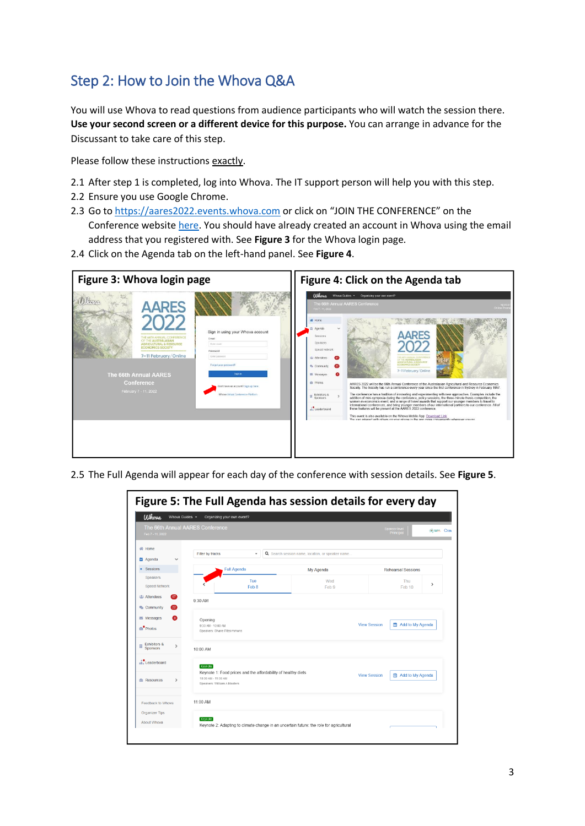# Step 2: How to Join the Whova Q&A

You will use Whova to read questions from audience participants who will watch the session there. **Use your second screen or a different device for this purpose.** You can arrange in advance for the Discussant to take care of this step.

Please follow these instructions exactly.

- 2.1 After step 1 is completed, log into Whova. The IT support person will help you with this step.
- 2.2 Ensure you use Google Chrome.
- 2.3 Go to [https://aares2022.events.whova.com](https://aus01.safelinks.protection.outlook.com/?url=https%3A%2F%2Faares2022.events.whova.com%2F&data=04%7C01%7Clmorales%40myune.mail.onmicrosoft.com%7C1aabab70c2b94687b76308d9da3c8bef%7C3e104c4f8ef24d1483d8bd7d3b46b8db%7C0%7C0%7C637780775845996053%7CUnknown%7CTWFpbGZsb3d8eyJWIjoiMC4wLjAwMDAiLCJQIjoiV2luMzIiLCJBTiI6Ik1haWwiLCJXVCI6Mn0%3D%7C3000&sdata=ld2FreD%2BjwbwzJvXhc1m%2FXDECmzde8uSSsWOLKb%2FpXE%3D&reserved=0) or click on "JOIN THE CONFERENCE" on the Conference websit[e here.](http://aares2022.org.au/) You should have already created an account in Whova using the email address that you registered with. See **Figure 3** for the Whova login page.
- 2.4 Click on the Agenda tab on the left-hand panel. See **Figure 4**.



2.5 The Full Agenda will appear for each day of the conference with session details. See **Figure 5**.

| Figure 5: The Full Agenda has session details for every day |                                                                                                                     |                                           |                                                                                         |                     |                            |             |
|-------------------------------------------------------------|---------------------------------------------------------------------------------------------------------------------|-------------------------------------------|-----------------------------------------------------------------------------------------|---------------------|----------------------------|-------------|
| Ulhova<br>Whova Guides -                                    | Organizing your own event?                                                                                          |                                           |                                                                                         |                     |                            |             |
| The 66th Annual AARES Conference<br>Feb 7 - 11, 2022        |                                                                                                                     |                                           |                                                                                         |                     | Sponsor level<br>Principal | <b>Crav</b> |
| <b>谷 Home</b><br><b>台</b> Agenda                            | Filter by tracks                                                                                                    | ٠                                         | Q Search session name, location, or speaker name                                        |                     |                            |             |
| Sessions<br>٠                                               | <b>Full Agenda</b>                                                                                                  |                                           | My Agenda                                                                               |                     | <b>Rehearsal Sessions</b>  |             |
| Speakers<br>Speed Network                                   |                                                                                                                     | Tue<br>Feb 8                              | Wed<br>Feb 9                                                                            |                     | Thu<br>Feb 10              | >           |
| <b>23 Attendees</b><br>67<br>Community<br>22                | 9:30 AM                                                                                                             |                                           |                                                                                         |                     |                            |             |
| Messages<br><b>Photos</b>                                   | Opening<br>9:30 AM - 10:00 AM<br>Speakers: Shane Fitzsimmons                                                        | <b>View Session</b><br>菌 Add to My Agenda |                                                                                         |                     |                            |             |
| Exhibitors &<br>Л<br>$\rightarrow$<br><b>Sponsors</b>       | 10:00 AM                                                                                                            |                                           |                                                                                         |                     |                            |             |
| .i. Leaderboard                                             | Keynote                                                                                                             |                                           |                                                                                         |                     |                            |             |
| <b>E</b> Resources<br>$\rightarrow$                         | Keynote 1: Food prices and the affordability of healthy diets<br>10:00 AM - 11:00 AM<br>Speakers: William A Masters |                                           |                                                                                         | <b>View Session</b> | 的 Add to My Agenda         |             |
| Feedback to Whova                                           | 11:00 AM                                                                                                            |                                           |                                                                                         |                     |                            |             |
| Organizer Tips<br>About Whova                               | Keynote                                                                                                             |                                           | Keynote 2: Adapting to climate change in an uncertain future: the role for agricultural |                     |                            |             |
|                                                             |                                                                                                                     |                                           |                                                                                         |                     |                            |             |